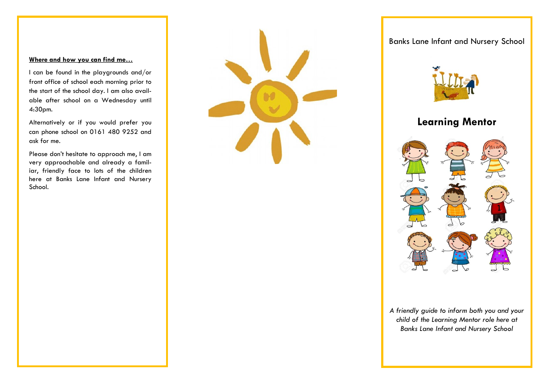### **Where and how you can find me…**

I can be found in the playgrounds and/or front office of school each morning prior to the start of the school day. I am also available after school on a Wednesday until 4:30pm.

Alternatively or if you would prefer you can phone school on 0161 480 9252 and ask for me.

Please don't hesitate to approach me, I am very approachable and already a familiar, friendly face to lots of the children here at Banks Lane Infant and Nursery School.

Banks Lane Infant and Nursery School



# **Learning Mentor**



*A friendly guide to inform both you and your child of the Learning Mentor role here at Banks Lane Infant and Nursery School*